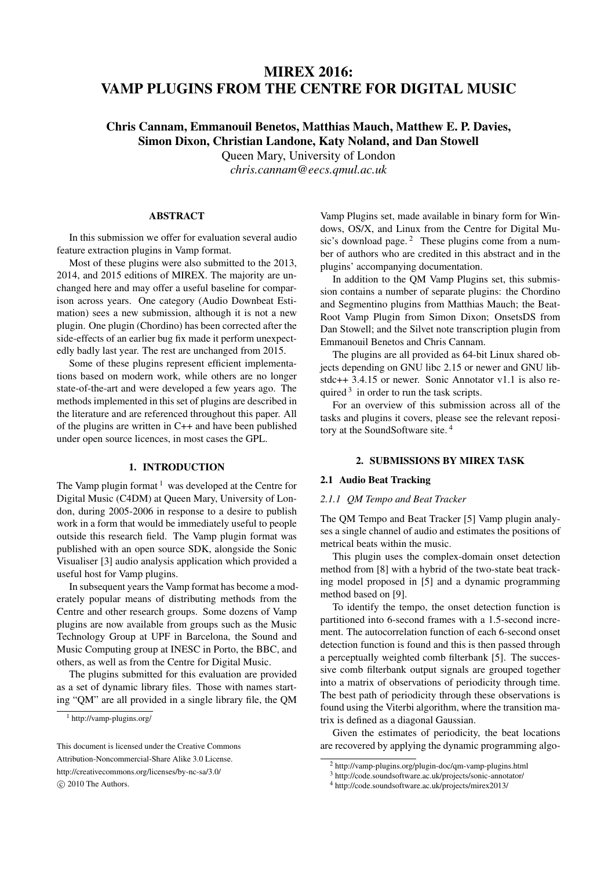# MIREX 2016: VAMP PLUGINS FROM THE CENTRE FOR DIGITAL MUSIC

# Chris Cannam, Emmanouil Benetos, Matthias Mauch, Matthew E. P. Davies, Simon Dixon, Christian Landone, Katy Noland, and Dan Stowell

Queen Mary, University of London

*chris.cannam@eecs.qmul.ac.uk*

# ABSTRACT

In this submission we offer for evaluation several audio feature extraction plugins in Vamp format.

Most of these plugins were also submitted to the 2013, 2014, and 2015 editions of MIREX. The majority are unchanged here and may offer a useful baseline for comparison across years. One category (Audio Downbeat Estimation) sees a new submission, although it is not a new plugin. One plugin (Chordino) has been corrected after the side-effects of an earlier bug fix made it perform unexpectedly badly last year. The rest are unchanged from 2015.

Some of these plugins represent efficient implementations based on modern work, while others are no longer state-of-the-art and were developed a few years ago. The methods implemented in this set of plugins are described in the literature and are referenced throughout this paper. All of the plugins are written in C++ and have been published under open source licences, in most cases the GPL.

# 1. INTRODUCTION

The Vamp plugin format  $1$  was developed at the Centre for Digital Music (C4DM) at Queen Mary, University of London, during 2005-2006 in response to a desire to publish work in a form that would be immediately useful to people outside this research field. The Vamp plugin format was published with an open source SDK, alongside the Sonic Visualiser [3] audio analysis application which provided a useful host for Vamp plugins.

In subsequent years the Vamp format has become a moderately popular means of distributing methods from the Centre and other research groups. Some dozens of Vamp plugins are now available from groups such as the Music Technology Group at UPF in Barcelona, the Sound and Music Computing group at INESC in Porto, the BBC, and others, as well as from the Centre for Digital Music.

The plugins submitted for this evaluation are provided as a set of dynamic library files. Those with names starting "QM" are all provided in a single library file, the QM Vamp Plugins set, made available in binary form for Windows, OS/X, and Linux from the Centre for Digital Music's download page. $2$  These plugins come from a number of authors who are credited in this abstract and in the plugins' accompanying documentation.

In addition to the QM Vamp Plugins set, this submission contains a number of separate plugins: the Chordino and Segmentino plugins from Matthias Mauch; the Beat-Root Vamp Plugin from Simon Dixon; OnsetsDS from Dan Stowell; and the Silvet note transcription plugin from Emmanouil Benetos and Chris Cannam.

The plugins are all provided as 64-bit Linux shared objects depending on GNU libc 2.15 or newer and GNU libstdc++ 3.4.15 or newer. Sonic Annotator v1.1 is also required  $3$  in order to run the task scripts.

For an overview of this submission across all of the tasks and plugins it covers, please see the relevant repository at the SoundSoftware site. <sup>4</sup>

# 2. SUBMISSIONS BY MIREX TASK

## 2.1 Audio Beat Tracking

### *2.1.1 QM Tempo and Beat Tracker*

The QM Tempo and Beat Tracker [5] Vamp plugin analyses a single channel of audio and estimates the positions of metrical beats within the music.

This plugin uses the complex-domain onset detection method from [8] with a hybrid of the two-state beat tracking model proposed in [5] and a dynamic programming method based on [9].

To identify the tempo, the onset detection function is partitioned into 6-second frames with a 1.5-second increment. The autocorrelation function of each 6-second onset detection function is found and this is then passed through a perceptually weighted comb filterbank [5]. The successive comb filterbank output signals are grouped together into a matrix of observations of periodicity through time. The best path of periodicity through these observations is found using the Viterbi algorithm, where the transition matrix is defined as a diagonal Gaussian.

Given the estimates of periodicity, the beat locations are recovered by applying the dynamic programming algo-

<sup>1</sup> http://vamp-plugins.org/

This document is licensed under the Creative Commons Attribution-Noncommercial-Share Alike 3.0 License. http://creativecommons.org/licenses/by-nc-sa/3.0/ *⃝*c 2010 The Authors.

<sup>2</sup> http://vamp-plugins.org/plugin-doc/qm-vamp-plugins.html

<sup>3</sup> http://code.soundsoftware.ac.uk/projects/sonic-annotator/

<sup>4</sup> http://code.soundsoftware.ac.uk/projects/mirex2013/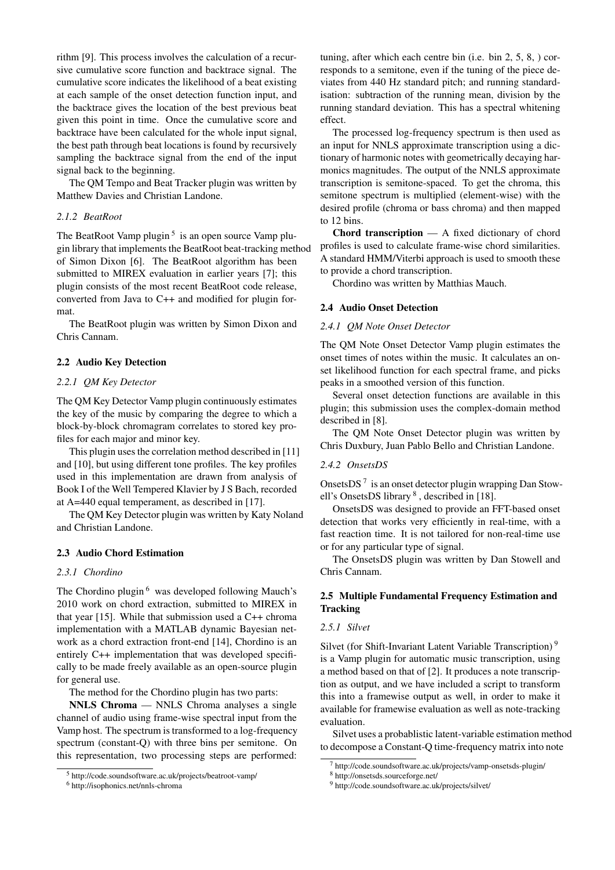rithm [9]. This process involves the calculation of a recursive cumulative score function and backtrace signal. The cumulative score indicates the likelihood of a beat existing at each sample of the onset detection function input, and the backtrace gives the location of the best previous beat given this point in time. Once the cumulative score and backtrace have been calculated for the whole input signal, the best path through beat locations is found by recursively sampling the backtrace signal from the end of the input signal back to the beginning.

The QM Tempo and Beat Tracker plugin was written by Matthew Davies and Christian Landone.

## *2.1.2 BeatRoot*

The BeatRoot Vamp plugin<sup>5</sup> is an open source Vamp plugin library that implements the BeatRoot beat-tracking method of Simon Dixon [6]. The BeatRoot algorithm has been submitted to MIREX evaluation in earlier years [7]; this plugin consists of the most recent BeatRoot code release, converted from Java to C++ and modified for plugin format.

The BeatRoot plugin was written by Simon Dixon and Chris Cannam.

# 2.2 Audio Key Detection

# *2.2.1 QM Key Detector*

The QM Key Detector Vamp plugin continuously estimates the key of the music by comparing the degree to which a block-by-block chromagram correlates to stored key profiles for each major and minor key.

This plugin uses the correlation method described in [11] and [10], but using different tone profiles. The key profiles used in this implementation are drawn from analysis of Book I of the Well Tempered Klavier by J S Bach, recorded at A=440 equal temperament, as described in [17].

The QM Key Detector plugin was written by Katy Noland and Christian Landone.

### 2.3 Audio Chord Estimation

# *2.3.1 Chordino*

The Chordino plugin<sup>6</sup> was developed following Mauch's 2010 work on chord extraction, submitted to MIREX in that year [15]. While that submission used a C++ chroma implementation with a MATLAB dynamic Bayesian network as a chord extraction front-end [14], Chordino is an entirely C++ implementation that was developed specifically to be made freely available as an open-source plugin for general use.

The method for the Chordino plugin has two parts:

NNLS Chroma — NNLS Chroma analyses a single channel of audio using frame-wise spectral input from the Vamp host. The spectrum is transformed to a log-frequency spectrum (constant-Q) with three bins per semitone. On this representation, two processing steps are performed: tuning, after which each centre bin (i.e. bin 2, 5, 8, ) corresponds to a semitone, even if the tuning of the piece deviates from 440 Hz standard pitch; and running standardisation: subtraction of the running mean, division by the running standard deviation. This has a spectral whitening effect.

The processed log-frequency spectrum is then used as an input for NNLS approximate transcription using a dictionary of harmonic notes with geometrically decaying harmonics magnitudes. The output of the NNLS approximate transcription is semitone-spaced. To get the chroma, this semitone spectrum is multiplied (element-wise) with the desired profile (chroma or bass chroma) and then mapped to 12 bins.

Chord transcription — A fixed dictionary of chord profiles is used to calculate frame-wise chord similarities. A standard HMM/Viterbi approach is used to smooth these to provide a chord transcription.

Chordino was written by Matthias Mauch.

#### 2.4 Audio Onset Detection

# *2.4.1 QM Note Onset Detector*

The QM Note Onset Detector Vamp plugin estimates the onset times of notes within the music. It calculates an onset likelihood function for each spectral frame, and picks peaks in a smoothed version of this function.

Several onset detection functions are available in this plugin; this submission uses the complex-domain method described in [8].

The QM Note Onset Detector plugin was written by Chris Duxbury, Juan Pablo Bello and Christian Landone.

# *2.4.2 OnsetsDS*

OnsetsDS<sup>7</sup> is an onset detector plugin wrapping Dan Stowell's OnsetsDS library<sup>8</sup>, described in [18].

OnsetsDS was designed to provide an FFT-based onset detection that works very efficiently in real-time, with a fast reaction time. It is not tailored for non-real-time use or for any particular type of signal.

The OnsetsDS plugin was written by Dan Stowell and Chris Cannam.

# 2.5 Multiple Fundamental Frequency Estimation and **Tracking**

# *2.5.1 Silvet*

Silvet (for Shift-Invariant Latent Variable Transcription)<sup>9</sup> is a Vamp plugin for automatic music transcription, using a method based on that of [2]. It produces a note transcription as output, and we have included a script to transform this into a framewise output as well, in order to make it available for framewise evaluation as well as note-tracking evaluation.

Silvet uses a probablistic latent-variable estimation method to decompose a Constant-Q time-frequency matrix into note

<sup>5</sup> http://code.soundsoftware.ac.uk/projects/beatroot-vamp/

<sup>6</sup> http://isophonics.net/nnls-chroma

 $^7$  http://code.soundsoftware.ac.uk/projects/vamp-onsetsds-plugin/

<sup>8</sup> http://onsetsds.sourceforge.net/

<sup>9</sup> http://code.soundsoftware.ac.uk/projects/silvet/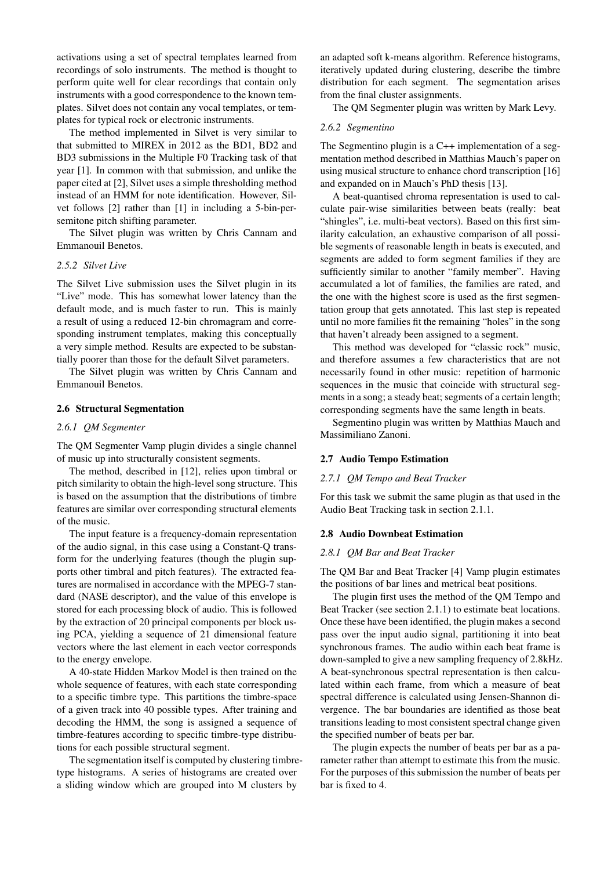activations using a set of spectral templates learned from recordings of solo instruments. The method is thought to perform quite well for clear recordings that contain only instruments with a good correspondence to the known templates. Silvet does not contain any vocal templates, or templates for typical rock or electronic instruments.

The method implemented in Silvet is very similar to that submitted to MIREX in 2012 as the BD1, BD2 and BD3 submissions in the Multiple F0 Tracking task of that year [1]. In common with that submission, and unlike the paper cited at [2], Silvet uses a simple thresholding method instead of an HMM for note identification. However, Silvet follows [2] rather than [1] in including a 5-bin-persemitone pitch shifting parameter.

The Silvet plugin was written by Chris Cannam and Emmanouil Benetos.

# *2.5.2 Silvet Live*

The Silvet Live submission uses the Silvet plugin in its "Live" mode. This has somewhat lower latency than the default mode, and is much faster to run. This is mainly a result of using a reduced 12-bin chromagram and corresponding instrument templates, making this conceptually a very simple method. Results are expected to be substantially poorer than those for the default Silvet parameters.

The Silvet plugin was written by Chris Cannam and Emmanouil Benetos.

## 2.6 Structural Segmentation

# *2.6.1 QM Segmenter*

The QM Segmenter Vamp plugin divides a single channel of music up into structurally consistent segments.

The method, described in [12], relies upon timbral or pitch similarity to obtain the high-level song structure. This is based on the assumption that the distributions of timbre features are similar over corresponding structural elements of the music.

The input feature is a frequency-domain representation of the audio signal, in this case using a Constant-Q transform for the underlying features (though the plugin supports other timbral and pitch features). The extracted features are normalised in accordance with the MPEG-7 standard (NASE descriptor), and the value of this envelope is stored for each processing block of audio. This is followed by the extraction of 20 principal components per block using PCA, yielding a sequence of 21 dimensional feature vectors where the last element in each vector corresponds to the energy envelope.

A 40-state Hidden Markov Model is then trained on the whole sequence of features, with each state corresponding to a specific timbre type. This partitions the timbre-space of a given track into 40 possible types. After training and decoding the HMM, the song is assigned a sequence of timbre-features according to specific timbre-type distributions for each possible structural segment.

The segmentation itself is computed by clustering timbretype histograms. A series of histograms are created over a sliding window which are grouped into M clusters by

an adapted soft k-means algorithm. Reference histograms, iteratively updated during clustering, describe the timbre distribution for each segment. The segmentation arises from the final cluster assignments.

The QM Segmenter plugin was written by Mark Levy.

#### *2.6.2 Segmentino*

The Segmentino plugin is a C++ implementation of a segmentation method described in Matthias Mauch's paper on using musical structure to enhance chord transcription [16] and expanded on in Mauch's PhD thesis [13].

A beat-quantised chroma representation is used to calculate pair-wise similarities between beats (really: beat "shingles", i.e. multi-beat vectors). Based on this first similarity calculation, an exhaustive comparison of all possible segments of reasonable length in beats is executed, and segments are added to form segment families if they are sufficiently similar to another "family member". Having accumulated a lot of families, the families are rated, and the one with the highest score is used as the first segmentation group that gets annotated. This last step is repeated until no more families fit the remaining "holes" in the song that haven't already been assigned to a segment.

This method was developed for "classic rock" music, and therefore assumes a few characteristics that are not necessarily found in other music: repetition of harmonic sequences in the music that coincide with structural segments in a song; a steady beat; segments of a certain length; corresponding segments have the same length in beats.

Segmentino plugin was written by Matthias Mauch and Massimiliano Zanoni.

# 2.7 Audio Tempo Estimation

#### *2.7.1 QM Tempo and Beat Tracker*

For this task we submit the same plugin as that used in the Audio Beat Tracking task in section 2.1.1.

#### 2.8 Audio Downbeat Estimation

#### *2.8.1 QM Bar and Beat Tracker*

The QM Bar and Beat Tracker [4] Vamp plugin estimates the positions of bar lines and metrical beat positions.

The plugin first uses the method of the QM Tempo and Beat Tracker (see section 2.1.1) to estimate beat locations. Once these have been identified, the plugin makes a second pass over the input audio signal, partitioning it into beat synchronous frames. The audio within each beat frame is down-sampled to give a new sampling frequency of 2.8kHz. A beat-synchronous spectral representation is then calculated within each frame, from which a measure of beat spectral difference is calculated using Jensen-Shannon divergence. The bar boundaries are identified as those beat transitions leading to most consistent spectral change given the specified number of beats per bar.

The plugin expects the number of beats per bar as a parameter rather than attempt to estimate this from the music. For the purposes of this submission the number of beats per bar is fixed to 4.